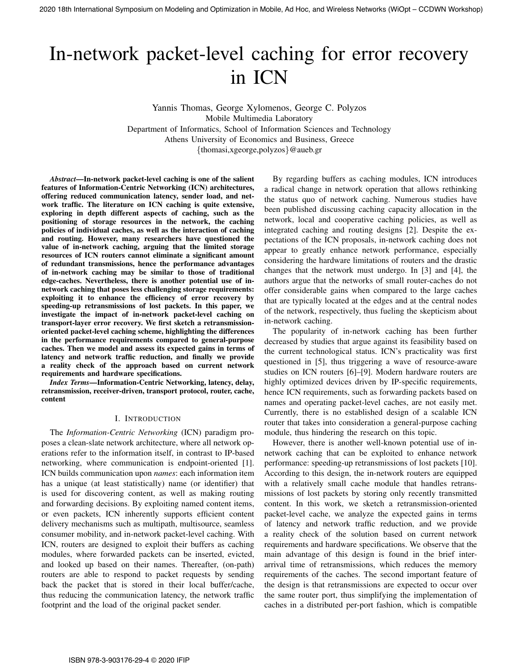# In-network packet-level caching for error recovery in ICN

Yannis Thomas, George Xylomenos, George C. Polyzos Mobile Multimedia Laboratory Department of Informatics, School of Information Sciences and Technology Athens University of Economics and Business, Greece {thomasi,xgeorge,polyzos}@aueb.gr

*Abstract*—In-network packet-level caching is one of the salient features of Information-Centric Networking (ICN) architectures, offering reduced communication latency, sender load, and network traffic. The literature on ICN caching is quite extensive, exploring in depth different aspects of caching, such as the positioning of storage resources in the network, the caching policies of individual caches, as well as the interaction of caching and routing. However, many researchers have questioned the value of in-network caching, arguing that the limited storage resources of ICN routers cannot eliminate a significant amount of redundant transmissions, hence the performance advantages of in-network caching may be similar to those of traditional edge-caches. Nevertheless, there is another potential use of innetwork caching that poses less challenging storage requirements: exploiting it to enhance the efficiency of error recovery by speeding-up retransmissions of lost packets. In this paper, we investigate the impact of in-network packet-level caching on transport-layer error recovery. We first sketch a retransmissionoriented packet-level caching scheme, highlighting the differences in the performance requirements compared to general-purpose caches. Then we model and assess its expected gains in terms of latency and network traffic reduction, and finally we provide a reality check of the approach based on current network requirements and hardware specifications. 2020 18th International Symposium or Modeling and Optimization in Modeling and OPTIC TECOVETY III ICN<br>
III ICN<br>
2020 18th International Symposium of George C. Pulsuas, Compact C. Pulsuas, Compact C. Pulsuas, Compact C. Pu

*Index Terms*—Information-Centric Networking, latency, delay, retransmission, receiver-driven, transport protocol, router, cache, content

## I. INTRODUCTION

The *Information-Centric Networking* (ICN) paradigm proposes a clean-slate network architecture, where all network operations refer to the information itself, in contrast to IP-based networking, where communication is endpoint-oriented [1]. ICN builds communication upon *names*: each information item has a unique (at least statistically) name (or identifier) that is used for discovering content, as well as making routing and forwarding decisions. By exploiting named content items, or even packets, ICN inherently supports efficient content delivery mechanisms such as multipath, multisource, seamless consumer mobility, and in-network packet-level caching. With ICN, routers are designed to exploit their buffers as caching modules, where forwarded packets can be inserted, evicted, and looked up based on their names. Thereafter, (on-path) routers are able to respond to packet requests by sending back the packet that is stored in their local buffer/cache, thus reducing the communication latency, the network traffic footprint and the load of the original packet sender.

By regarding buffers as caching modules, ICN introduces a radical change in network operation that allows rethinking the status quo of network caching. Numerous studies have been published discussing caching capacity allocation in the network, local and cooperative caching policies, as well as integrated caching and routing designs [2]. Despite the expectations of the ICN proposals, in-network caching does not appear to greatly enhance network performance, especially considering the hardware limitations of routers and the drastic changes that the network must undergo. In [3] and [4], the authors argue that the networks of small router-caches do not offer considerable gains when compared to the large caches that are typically located at the edges and at the central nodes of the network, respectively, thus fueling the skepticism about in-network caching.

The popularity of in-network caching has been further decreased by studies that argue against its feasibility based on the current technological status. ICN's practicality was first questioned in [5], thus triggering a wave of resource-aware studies on ICN routers [6]–[9]. Modern hardware routers are highly optimized devices driven by IP-specific requirements, hence ICN requirements, such as forwarding packets based on names and operating packet-level caches, are not easily met. Currently, there is no established design of a scalable ICN router that takes into consideration a general-purpose caching module, thus hindering the research on this topic.

However, there is another well-known potential use of innetwork caching that can be exploited to enhance network performance: speeding-up retransmissions of lost packets [10]. According to this design, the in-network routers are equipped with a relatively small cache module that handles retransmissions of lost packets by storing only recently transmitted content. In this work, we sketch a retransmission-oriented packet-level cache, we analyze the expected gains in terms of latency and network traffic reduction, and we provide a reality check of the solution based on current network requirements and hardware specifications. We observe that the main advantage of this design is found in the brief interarrival time of retransmissions, which reduces the memory requirements of the caches. The second important feature of the design is that retransmissions are expected to occur over the same router port, thus simplifying the implementation of caches in a distributed per-port fashion, which is compatible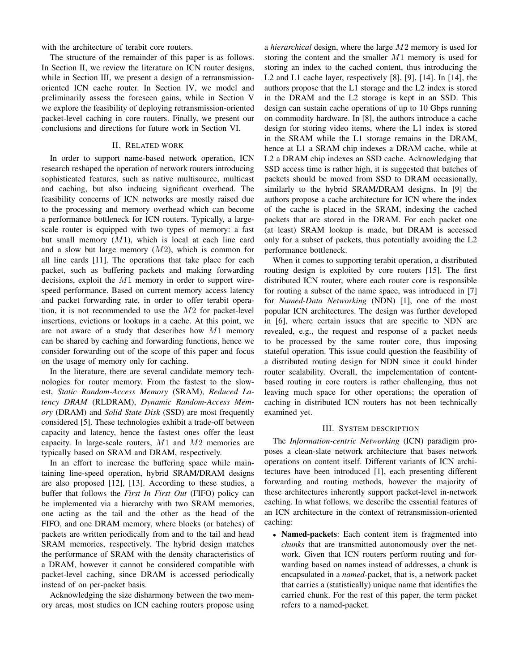with the architecture of terabit core routers.

The structure of the remainder of this paper is as follows. In Section II, we review the literature on ICN router designs, while in Section III, we present a design of a retransmissionoriented ICN cache router. In Section IV, we model and preliminarily assess the foreseen gains, while in Section V we explore the feasibility of deploying retransmission-oriented packet-level caching in core routers. Finally, we present our conclusions and directions for future work in Section VI.

### II. RELATED WORK

In order to support name-based network operation, ICN research reshaped the operation of network routers introducing sophisticated features, such as native multisource, multicast and caching, but also inducing significant overhead. The feasibility concerns of ICN networks are mostly raised due to the processing and memory overhead which can become a performance bottleneck for ICN routers. Typically, a largescale router is equipped with two types of memory: a fast but small memory  $(M1)$ , which is local at each line card and a slow but large memory  $(M2)$ , which is common for all line cards [11]. The operations that take place for each packet, such as buffering packets and making forwarding decisions, exploit the M1 memory in order to support wirespeed performance. Based on current memory access latency and packet forwarding rate, in order to offer terabit operation, it is not recommended to use the M2 for packet-level insertions, evictions or lookups in a cache. At this point, we are not aware of a study that describes how M1 memory can be shared by caching and forwarding functions, hence we consider forwarding out of the scope of this paper and focus on the usage of memory only for caching.

In the literature, there are several candidate memory technologies for router memory. From the fastest to the slowest, *Static Random-Access Memory* (SRAM), *Reduced Latency DRAM* (RLDRAM), *Dynamic Random-Access Memory* (DRAM) and *Solid State Disk* (SSD) are most frequently considered [5]. These technologies exhibit a trade-off between capacity and latency, hence the fastest ones offer the least capacity. In large-scale routers,  $M1$  and  $M2$  memories are typically based on SRAM and DRAM, respectively.

In an effort to increase the buffering space while maintaining line-speed operation, hybrid SRAM/DRAM designs are also proposed [12], [13]. According to these studies, a buffer that follows the *First In First Out* (FIFO) policy can be implemented via a hierarchy with two SRAM memories, one acting as the tail and the other as the head of the FIFO, and one DRAM memory, where blocks (or batches) of packets are written periodically from and to the tail and head SRAM memories, respectively. The hybrid design matches the performance of SRAM with the density characteristics of a DRAM, however it cannot be considered compatible with packet-level caching, since DRAM is accessed periodically instead of on per-packet basis.

Acknowledging the size disharmony between the two memory areas, most studies on ICN caching routers propose using a *hierarchical* design, where the large M2 memory is used for storing the content and the smaller M1 memory is used for storing an index to the cached content, thus introducing the L2 and L1 cache layer, respectively [8], [9], [14]. In [14], the authors propose that the L1 storage and the L2 index is stored in the DRAM and the L2 storage is kept in an SSD. This design can sustain cache operations of up to 10 Gbps running on commodity hardware. In [8], the authors introduce a cache design for storing video items, where the L1 index is stored in the SRAM while the L1 storage remains in the DRAM, hence at L1 a SRAM chip indexes a DRAM cache, while at L2 a DRAM chip indexes an SSD cache. Acknowledging that SSD access time is rather high, it is suggested that batches of packets should be moved from SSD to DRAM occasionally, similarly to the hybrid SRAM/DRAM designs. In [9] the authors propose a cache architecture for ICN where the index of the cache is placed in the SRAM, indexing the cached packets that are stored in the DRAM. For each packet one (at least) SRAM lookup is made, but DRAM is accessed only for a subset of packets, thus potentially avoiding the L2 performance bottleneck.

When it comes to supporting terabit operation, a distributed routing design is exploited by core routers [15]. The first distributed ICN router, where each router core is responsible for routing a subset of the name space, was introduced in [7] for *Named-Data Networking* (NDN) [1], one of the most popular ICN architectures. The design was further developed in [6], where certain issues that are specific to NDN are revealed, e.g., the request and response of a packet needs to be processed by the same router core, thus imposing stateful operation. This issue could question the feasibility of a distributed routing design for NDN since it could hinder router scalability. Overall, the impelementation of contentbased routing in core routers is rather challenging, thus not leaving much space for other operations; the operation of caching in distributed ICN routers has not been technically examined yet.

#### III. SYSTEM DESCRIPTION

The *Information-centric Networking* (ICN) paradigm proposes a clean-slate network architecture that bases network operations on content itself. Different variants of ICN architectures have been introduced [1], each presenting different forwarding and routing methods, however the majority of these architectures inherently support packet-level in-network caching. In what follows, we describe the essential features of an ICN architecture in the context of retransmission-oriented caching:

• Named-packets: Each content item is fragmented into *chunks* that are transmitted autonomously over the network. Given that ICN routers perform routing and forwarding based on names instead of addresses, a chunk is encapsulated in a *named*-packet, that is, a network packet that carries a (statistically) unique name that identifies the carried chunk. For the rest of this paper, the term packet refers to a named-packet.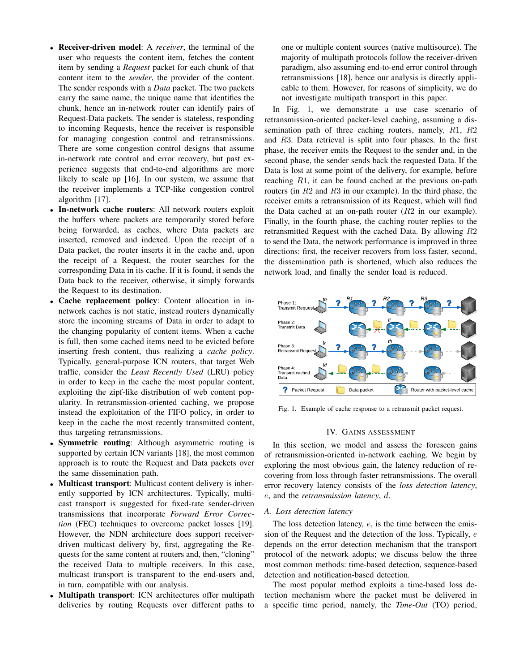- Receiver-driven model: A *receiver*, the terminal of the user who requests the content item, fetches the content item by sending a *Request* packet for each chunk of that content item to the *sender*, the provider of the content. The sender responds with a *Data* packet. The two packets carry the same name, the unique name that identifies the chunk, hence an in-network router can identify pairs of Request-Data packets. The sender is stateless, responding to incoming Requests, hence the receiver is responsible for managing congestion control and retransmissions. There are some congestion control designs that assume in-network rate control and error recovery, but past experience suggests that end-to-end algorithms are more likely to scale up [16]. In our system, we assume that the receiver implements a TCP-like congestion control algorithm [17].
- In-network cache routers: All network routers exploit the buffers where packets are temporarily stored before being forwarded, as caches, where Data packets are inserted, removed and indexed. Upon the receipt of a Data packet, the router inserts it in the cache and, upon the receipt of a Request, the router searches for the corresponding Data in its cache. If it is found, it sends the Data back to the receiver, otherwise, it simply forwards the Request to its destination.
- Cache replacement policy: Content allocation in innetwork caches is not static, instead routers dynamically store the incoming streams of Data in order to adapt to the changing popularity of content items. When a cache is full, then some cached items need to be evicted before inserting fresh content, thus realizing a *cache policy*. Typically, general-purpose ICN routers, that target Web traffic, consider the *Least Recently Used* (LRU) policy in order to keep in the cache the most popular content, exploiting the zipf-like distribution of web content popularity. In retransmission-oriented caching, we propose instead the exploitation of the FIFO policy, in order to keep in the cache the most recently transmitted content, thus targeting retransmissions.
- Symmetric routing: Although asymmetric routing is supported by certain ICN variants [18], the most common approach is to route the Request and Data packets over the same dissemination path.
- Multicast transport: Multicast content delivery is inherently supported by ICN architectures. Typically, multicast transport is suggested for fixed-rate sender-driven transmissions that incorporate *Forward Error Correction* (FEC) techniques to overcome packet losses [19]. However, the NDN architecture does support receiverdriven multicast delivery by, first, aggregating the Requests for the same content at routers and, then, "cloning" the received Data to multiple receivers. In this case, multicast transport is transparent to the end-users and, in turn, compatible with our analysis.
- Multipath transport: ICN architectures offer multipath deliveries by routing Requests over different paths to

one or multiple content sources (native multisource). The majority of multipath protocols follow the receiver-driven paradigm, also assuming end-to-end error control through retransmissions [18], hence our analysis is directly applicable to them. However, for reasons of simplicity, we do not investigate multipath transport in this paper.

In Fig. 1, we demonstrate a use case scenario of retransmission-oriented packet-level caching, assuming a dissemination path of three caching routers, namely, R1, R2 and R3. Data retrieval is split into four phases. In the first phase, the receiver emits the Request to the sender and, in the second phase, the sender sends back the requested Data. If the Data is lost at some point of the delivery, for example, before reaching R1, it can be found cached at the previous on-path routers (in  $R2$  and  $R3$  in our example). In the third phase, the receiver emits a retransmission of its Request, which will find the Data cached at an on-path router  $(R2$  in our example). Finally, in the fourth phase, the caching router replies to the retransmitted Request with the cached Data. By allowing R2 to send the Data, the network performance is improved in three directions: first, the receiver recovers from loss faster, second, the dissemination path is shortened, which also reduces the network load, and finally the sender load is reduced.



Fig. 1. Example of cache response to a retransmit packet request.

#### IV. GAINS ASSESSMENT

In this section, we model and assess the foreseen gains of retransmission-oriented in-network caching. We begin by exploring the most obvious gain, the latency reduction of recovering from loss through faster retransmissions. The overall error recovery latency consists of the *loss detection latency*, e, and the *retransmission latency*, d.

#### *A. Loss detection latency*

The loss detection latency,  $e$ , is the time between the emission of the Request and the detection of the loss. Typically, e depends on the error detection mechanism that the transport protocol of the network adopts; we discuss below the three most common methods: time-based detection, sequence-based detection and notification-based detection.

The most popular method exploits a time-based loss detection mechanism where the packet must be delivered in a specific time period, namely, the *Time-Out* (TO) period,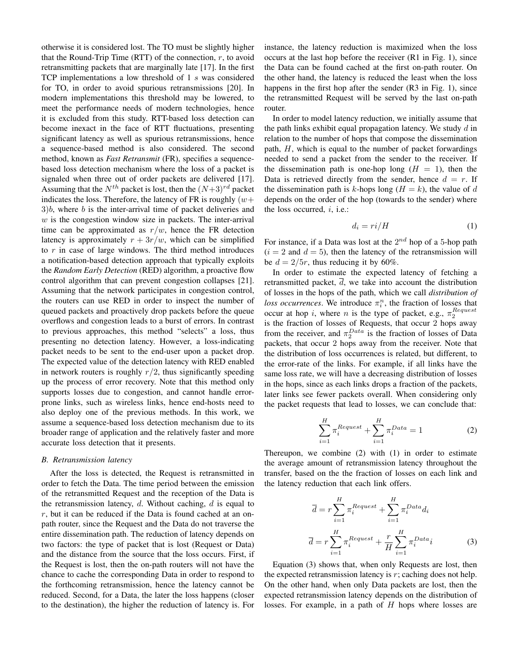otherwise it is considered lost. The TO must be slightly higher that the Round-Trip Time (RTT) of the connection,  $r$ , to avoid retransmitting packets that are marginally late [17]. In the first TCP implementations a low threshold of 1 s was considered for TO, in order to avoid spurious retransmissions [20]. In modern implementations this threshold may be lowered, to meet the performance needs of modern technologies, hence it is excluded from this study. RTT-based loss detection can become inexact in the face of RTT fluctuations, presenting significant latency as well as spurious retransmissions, hence a sequence-based method is also considered. The second method, known as *Fast Retransmit* (FR), specifies a sequencebased loss detection mechanism where the loss of a packet is signaled when three out of order packets are delivered [17]. Assuming that the  $N^{th}$  packet is lost, then the  $(N+3)^{rd}$  packet indicates the loss. Therefore, the latency of FR is roughly  $(w +$  $3)b$ , where b is the inter-arrival time of packet deliveries and  $w$  is the congestion window size in packets. The inter-arrival time can be approximated as  $r/w$ , hence the FR detection latency is approximately  $r + 3r/w$ , which can be simplified to  $r$  in case of large windows. The third method introduces a notification-based detection approach that typically exploits the *Random Early Detection* (RED) algorithm, a proactive flow control algorithm that can prevent congestion collapses [21]. Assuming that the network participates in congestion control, the routers can use RED in order to inspect the number of queued packets and proactively drop packets before the queue overflows and congestion leads to a burst of errors. In contrast to previous approaches, this method "selects" a loss, thus presenting no detection latency. However, a loss-indicating packet needs to be sent to the end-user upon a packet drop. The expected value of the detection latency with RED enabled in network routers is roughly  $r/2$ , thus significantly speeding up the process of error recovery. Note that this method only supports losses due to congestion, and cannot handle errorprone links, such as wireless links, hence end-hosts need to also deploy one of the previous methods. In this work, we assume a sequence-based loss detection mechanism due to its broader range of application and the relatively faster and more accurate loss detection that it presents.

#### *B. Retransmission latency*

After the loss is detected, the Request is retransmitted in order to fetch the Data. The time period between the emission of the retransmitted Request and the reception of the Data is the retransmission latency,  $d$ . Without caching,  $d$  is equal to  $r$ , but it can be reduced if the Data is found cached at an onpath router, since the Request and the Data do not traverse the entire dissemination path. The reduction of latency depends on two factors: the type of packet that is lost (Request or Data) and the distance from the source that the loss occurs. First, if the Request is lost, then the on-path routers will not have the chance to cache the corresponding Data in order to respond to the forthcoming retransmission, hence the latency cannot be reduced. Second, for a Data, the later the loss happens (closer to the destination), the higher the reduction of latency is. For

instance, the latency reduction is maximized when the loss occurs at the last hop before the receiver (R1 in Fig. 1), since the Data can be found cached at the first on-path router. On the other hand, the latency is reduced the least when the loss happens in the first hop after the sender (R3 in Fig. 1), since the retransmitted Request will be served by the last on-path router.

In order to model latency reduction, we initially assume that the path links exhibit equal propagation latency. We study  $d$  in relation to the number of hops that compose the dissemination path,  $H$ , which is equal to the number of packet forwardings needed to send a packet from the sender to the receiver. If the dissemination path is one-hop long  $(H = 1)$ , then the Data is retrieved directly from the sender, hence  $d = r$ . If the dissemination path is k-hops long  $(H = k)$ , the value of d depends on the order of the hop (towards to the sender) where the loss occurred,  $i$ , i.e.:

$$
d_i = ri/H \tag{1}
$$

For instance, if a Data was lost at the  $2^{nd}$  hop of a 5-hop path  $(i = 2$  and  $d = 5)$ , then the latency of the retransmission will be  $d = 2/5r$ , thus reducing it by 60%.

In order to estimate the expected latency of fetching a retransmitted packet,  $\overline{d}$ , we take into account the distribution of losses in the hops of the path, which we call *distribution of loss occurrences*. We introduce  $\pi_i^n$ , the fraction of losses that occur at hop i, where n is the type of packet, e.g.,  $\pi_2^{Request}$ is the fraction of losses of Requests, that occur 2 hops away from the receiver, and  $\pi_2^{Data}$  is the fraction of losses of Data packets, that occur 2 hops away from the receiver. Note that the distribution of loss occurrences is related, but different, to the error-rate of the links. For example, if all links have the same loss rate, we will have a decreasing distribution of losses in the hops, since as each links drops a fraction of the packets, later links see fewer packets overall. When considering only the packet requests that lead to losses, we can conclude that:

$$
\sum_{i=1}^{H} \pi_i^{Request} + \sum_{i=1}^{H} \pi_i^{Data} = 1
$$
 (2)

Thereupon, we combine (2) with (1) in order to estimate the average amount of retransmission latency throughout the transfer, based on the the fraction of losses on each link and the latency reduction that each link offers.

$$
\overline{d} = r \sum_{i=1}^{H} \pi_i^{Request} + \sum_{i=1}^{H} \pi_i^{Data} d_i
$$

$$
\overline{d} = r \sum_{i=1}^{H} \pi_i^{Request} + \frac{r}{H} \sum_{i=1}^{H} \pi_i^{Data} i
$$
(3)

Equation (3) shows that, when only Requests are lost, then the expected retransmission latency is  $r$ ; caching does not help. On the other hand, when only Data packets are lost, then the expected retransmission latency depends on the distribution of losses. For example, in a path of H hops where losses are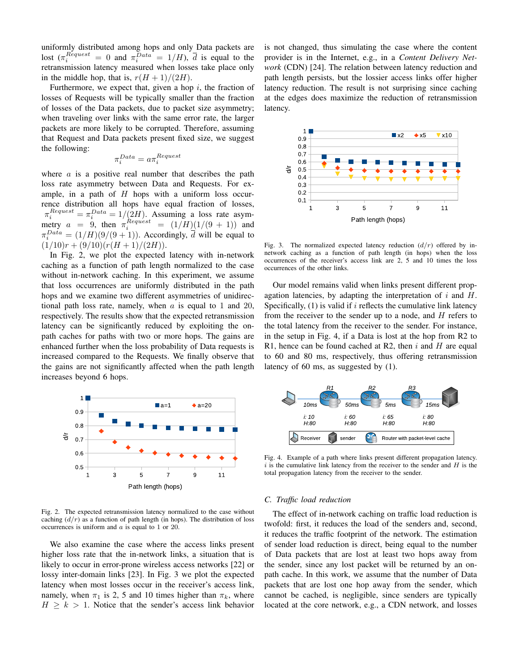uniformly distributed among hops and only Data packets are lost  $(\pi_i^{Request} = 0 \text{ and } \pi_i^{Data} = 1/H)$ ,  $\overline{d}$  is equal to the retransmission latency measured when losses take place only in the middle hop, that is,  $r(H + 1)/(2H)$ .

Furthermore, we expect that, given a hop  $i$ , the fraction of losses of Requests will be typically smaller than the fraction of losses of the Data packets, due to packet size asymmetry; when traveling over links with the same error rate, the larger packets are more likely to be corrupted. Therefore, assuming that Request and Data packets present fixed size, we suggest the following:

$$
\pi_i^{Data} = a\pi_i^{Request}
$$

where  $\alpha$  is a positive real number that describes the path loss rate asymmetry between Data and Requests. For example, in a path of  $H$  hops with a uniform loss occurrence distribution all hops have equal fraction of losses,  $\pi_i^{Request} = \pi_i^{Data} = 1/(2H)$ . Assuming a loss rate asymmetry  $a = 9$ , then  $\pi_i^{Request} = (1/H)(1/(9+1))$  and  $\pi_i^{Data} = (1/H)(9/(9+1))$ . Accordingly,  $\overline{d}$  will be equal to  $(1/10)r + (9/10)(r(H+1)/(2H)).$ 

In Fig. 2, we plot the expected latency with in-network caching as a function of path length normalized to the case without in-network caching. In this experiment, we assume that loss occurrences are uniformly distributed in the path hops and we examine two different asymmetries of unidirectional path loss rate, namely, when  $a$  is equal to 1 and 20, respectively. The results show that the expected retransmission latency can be significantly reduced by exploiting the onpath caches for paths with two or more hops. The gains are enhanced further when the loss probability of Data requests is increased compared to the Requests. We finally observe that the gains are not significantly affected when the path length increases beyond 6 hops.



Fig. 2. The expected retransmission latency normalized to the case without caching  $\left(\frac{d}{r}\right)$  as a function of path length (in hops). The distribution of loss occurrences is uniform and  $a$  is equal to 1 or 20.

We also examine the case where the access links present higher loss rate that the in-network links, a situation that is likely to occur in error-prone wireless access networks [22] or lossy inter-domain links [23]. In Fig. 3 we plot the expected latency when most losses occur in the receiver's access link, namely, when  $\pi_1$  is 2, 5 and 10 times higher than  $\pi_k$ , where  $H \geq k > 1$ . Notice that the sender's access link behavior is not changed, thus simulating the case where the content provider is in the Internet, e.g., in a *Content Delivery Network* (CDN) [24]. The relation between latency reduction and path length persists, but the lossier access links offer higher latency reduction. The result is not surprising since caching at the edges does maximize the reduction of retransmission latency.



Fig. 3. The normalized expected latency reduction  $(d/r)$  offered by innetwork caching as a function of path length (in hops) when the loss occurrences of the receiver's access link are 2, 5 and 10 times the loss occurrences of the other links.

Our model remains valid when links present different propagation latencies, by adapting the interpretation of  $i$  and  $H$ . Specifically,  $(1)$  is valid if i reflects the cumulative link latency from the receiver to the sender up to a node, and  $H$  refers to the total latency from the receiver to the sender. For instance, in the setup in Fig. 4, if a Data is lost at the hop from R2 to R1, hence can be found cached at R2, then  $i$  and  $H$  are equal to 60 and 80 ms, respectively, thus offering retransmission latency of 60 ms, as suggested by (1).



Fig. 4. Example of a path where links present different propagation latency.  $i$  is the cumulative link latency from the receiver to the sender and  $H$  is the total propagation latency from the receiver to the sender.

## *C. Traffic load reduction*

The effect of in-network caching on traffic load reduction is twofold: first, it reduces the load of the senders and, second, it reduces the traffic footprint of the network. The estimation of sender load reduction is direct, being equal to the number of Data packets that are lost at least two hops away from the sender, since any lost packet will be returned by an onpath cache. In this work, we assume that the number of Data packets that are lost one hop away from the sender, which cannot be cached, is negligible, since senders are typically located at the core network, e.g., a CDN network, and losses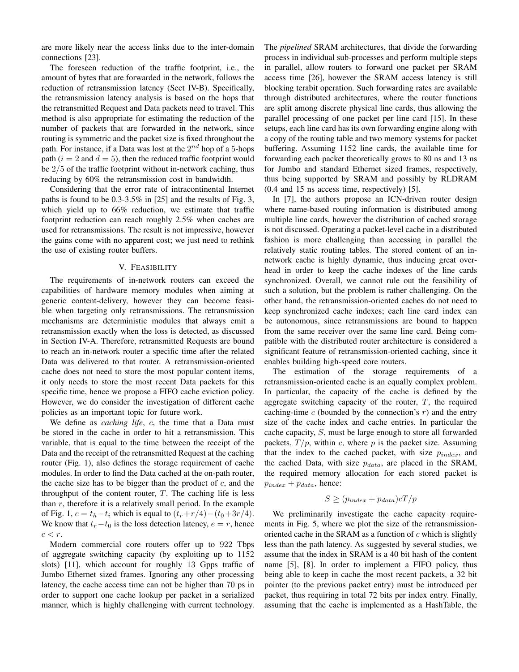are more likely near the access links due to the inter-domain connections [23].

The foreseen reduction of the traffic footprint, i.e., the amount of bytes that are forwarded in the network, follows the reduction of retransmission latency (Sect IV-B). Specifically, the retransmission latency analysis is based on the hops that the retransmitted Request and Data packets need to travel. This method is also appropriate for estimating the reduction of the number of packets that are forwarded in the network, since routing is symmetric and the packet size is fixed throughout the path. For instance, if a Data was lost at the  $2^{nd}$  hop of a 5-hops path ( $i = 2$  and  $d = 5$ ), then the reduced traffic footprint would be 2/5 of the traffic footprint without in-network caching, thus reducing by 60% the retransmission cost in bandwidth.

Considering that the error rate of intracontinental Internet paths is found to be 0.3-3.5% in [25] and the results of Fig. 3, which yield up to 66% reduction, we estimate that traffic footprint reduction can reach roughly 2.5% when caches are used for retransmissions. The result is not impressive, however the gains come with no apparent cost; we just need to rethink the use of existing router buffers.

## V. FEASIBILITY

The requirements of in-network routers can exceed the capabilities of hardware memory modules when aiming at generic content-delivery, however they can become feasible when targeting only retransmissions. The retransmission mechanisms are deterministic modules that always emit a retransmission exactly when the loss is detected, as discussed in Section IV-A. Therefore, retransmitted Requests are bound to reach an in-network router a specific time after the related Data was delivered to that router. A retransmission-oriented cache does not need to store the most popular content items, it only needs to store the most recent Data packets for this specific time, hence we propose a FIFO cache eviction policy. However, we do consider the investigation of different cache policies as an important topic for future work.

We define as *caching life*, c, the time that a Data must be stored in the cache in order to hit a retransmission. This variable, that is equal to the time between the receipt of the Data and the receipt of the retransmitted Request at the caching router (Fig. 1), also defines the storage requirement of cache modules. In order to find the Data cached at the on-path router, the cache size has to be bigger than the product of  $c$ , and the throughput of the content router,  $T$ . The caching life is less than  $r$ , therefore it is a relatively small period. In the example of Fig. 1,  $c = t_h - t_i$  which is equal to  $(t_r + r/4) - (t_0 + 3r/4)$ . We know that  $t_r-t_0$  is the loss detection latency,  $e = r$ , hence  $c < r$ .

Modern commercial core routers offer up to 922 Tbps of aggregate switching capacity (by exploiting up to 1152 slots) [11], which account for roughly 13 Gpps traffic of Jumbo Ethernet sized frames. Ignoring any other processing latency, the cache access time can not be higher than 70 ps in order to support one cache lookup per packet in a serialized manner, which is highly challenging with current technology. The *pipelined* SRAM architectures, that divide the forwarding process in individual sub-processes and perform multiple steps in parallel, allow routers to forward one packet per SRAM access time [26], however the SRAM access latency is still blocking terabit operation. Such forwarding rates are available through distributed architectures, where the router functions are split among discrete physical line cards, thus allowing the parallel processing of one packet per line card [15]. In these setups, each line card has its own forwarding engine along with a copy of the routing table and two memory systems for packet buffering. Assuming 1152 line cards, the available time for forwarding each packet theoretically grows to 80 ns and 13 ns for Jumbo and standard Ethernet sized frames, respectively, thus being supported by SRAM and possibly by RLDRAM (0.4 and 15 ns access time, respectively) [5].

In [7], the authors propose an ICN-driven router design where name-based routing information is distributed among multiple line cards, however the distribution of cached storage is not discussed. Operating a packet-level cache in a distributed fashion is more challenging than accessing in parallel the relatively static routing tables. The stored content of an innetwork cache is highly dynamic, thus inducing great overhead in order to keep the cache indexes of the line cards synchronized. Overall, we cannot rule out the feasibility of such a solution, but the problem is rather challenging. On the other hand, the retransmission-oriented caches do not need to keep synchronized cache indexes; each line card index can be autonomous, since retransmissions are bound to happen from the same receiver over the same line card. Being compatible with the distributed router architecture is considered a significant feature of retransmission-oriented caching, since it enables building high-speed core routers.

The estimation of the storage requirements of a retransmission-oriented cache is an equally complex problem. In particular, the capacity of the cache is defined by the aggregate switching capacity of the router,  $T$ , the required caching-time  $c$  (bounded by the connection's  $r$ ) and the entry size of the cache index and cache entries. In particular the cache capacity, S, must be large enough to store all forwarded packets,  $T/p$ , within c, where p is the packet size. Assuming that the index to the cached packet, with size  $p_{index}$ , and the cached Data, with size  $p_{data}$ , are placed in the SRAM, the required memory allocation for each stored packet is  $p_{index} + p_{data}$ , hence:

$$
S \ge (p_{index} + p_{data})cT/p
$$

We preliminarily investigate the cache capacity requirements in Fig. 5, where we plot the size of the retransmissionoriented cache in the SRAM as a function of  $c$  which is slightly less than the path latency. As suggested by several studies, we assume that the index in SRAM is a 40 bit hash of the content name [5], [8]. In order to implement a FIFO policy, thus being able to keep in cache the most recent packets, a 32 bit pointer (to the previous packet entry) must be introduced per packet, thus requiring in total 72 bits per index entry. Finally, assuming that the cache is implemented as a HashTable, the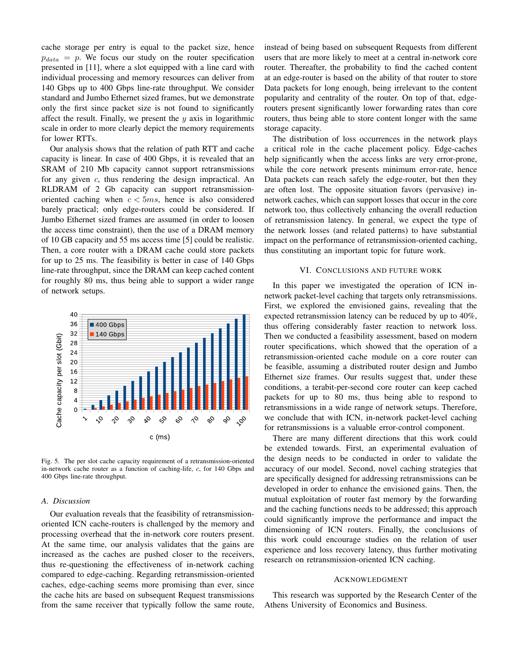cache storage per entry is equal to the packet size, hence  $p_{data} = p$ . We focus our study on the router specification presented in [11], where a slot equipped with a line card with individual processing and memory resources can deliver from 140 Gbps up to 400 Gbps line-rate throughput. We consider standard and Jumbo Ethernet sized frames, but we demonstrate only the first since packet size is not found to significantly affect the result. Finally, we present the  $y$  axis in logarithmic scale in order to more clearly depict the memory requirements for lower RTTs.

Our analysis shows that the relation of path RTT and cache capacity is linear. In case of 400 Gbps, it is revealed that an SRAM of 210 Mb capacity cannot support retransmissions for any given  $c$ , thus rendering the design impractical. An RLDRAM of 2 Gb capacity can support retransmissionoriented caching when  $c < 5ms$ , hence is also considered barely practical; only edge-routers could be considered. If Jumbo Ethernet sized frames are assumed (in order to loosen the access time constraint), then the use of a DRAM memory of 10 GB capacity and 55 ms access time [5] could be realistic. Then, a core router with a DRAM cache could store packets for up to 25 ms. The feasibility is better in case of 140 Gbps line-rate throughput, since the DRAM can keep cached content for roughly 80 ms, thus being able to support a wider range of network setups.



Fig. 5. The per slot cache capacity requirement of a retransmission-oriented in-network cache router as a function of caching-life, c, for 140 Gbps and 400 Gbps line-rate throughput.

#### *A. Discussion*

Our evaluation reveals that the feasibility of retransmissionoriented ICN cache-routers is challenged by the memory and processing overhead that the in-network core routers present. At the same time, our analysis validates that the gains are increased as the caches are pushed closer to the receivers, thus re-questioning the effectiveness of in-network caching compared to edge-caching. Regarding retransmission-oriented caches, edge-caching seems more promising than ever, since the cache hits are based on subsequent Request transmissions from the same receiver that typically follow the same route, instead of being based on subsequent Requests from different users that are more likely to meet at a central in-network core router. Thereafter, the probability to find the cached content at an edge-router is based on the ability of that router to store Data packets for long enough, being irrelevant to the content popularity and centrality of the router. On top of that, edgerouters present significantly lower forwarding rates than core routers, thus being able to store content longer with the same storage capacity.

The distribution of loss occurrences in the network plays a critical role in the cache placement policy. Edge-caches help significantly when the access links are very error-prone, while the core network presents minimum error-rate, hence Data packets can reach safely the edge-router, but then they are often lost. The opposite situation favors (pervasive) innetwork caches, which can support losses that occur in the core network too, thus collectively enhancing the overall reduction of retransmission latency. In general, we expect the type of the network losses (and related patterns) to have substantial impact on the performance of retransmission-oriented caching, thus constituting an important topic for future work.

## VI. CONCLUSIONS AND FUTURE WORK

In this paper we investigated the operation of ICN innetwork packet-level caching that targets only retransmissions. First, we explored the envisioned gains, revealing that the expected retransmission latency can be reduced by up to 40%, thus offering considerably faster reaction to network loss. Then we conducted a feasibility assessment, based on modern router specifications, which showed that the operation of a retransmission-oriented cache module on a core router can be feasible, assuming a distributed router design and Jumbo Ethernet size frames. Our results suggest that, under these conditions, a terabit-per-second core router can keep cached packets for up to 80 ms, thus being able to respond to retransmissions in a wide range of network setups. Therefore, we conclude that with ICN, in-network packet-level caching for retransmissions is a valuable error-control component.

There are many different directions that this work could be extended towards. First, an experimental evaluation of the design needs to be conducted in order to validate the accuracy of our model. Second, novel caching strategies that are specifically designed for addressing retransmissions can be developed in order to enhance the envisioned gains. Then, the mutual exploitation of router fast memory by the forwarding and the caching functions needs to be addressed; this approach could significantly improve the performance and impact the dimensioning of ICN routers. Finally, the conclusions of this work could encourage studies on the relation of user experience and loss recovery latency, thus further motivating research on retransmission-oriented ICN caching.

#### ACKNOWLEDGMENT

This research was supported by the Research Center of the Athens University of Economics and Business.